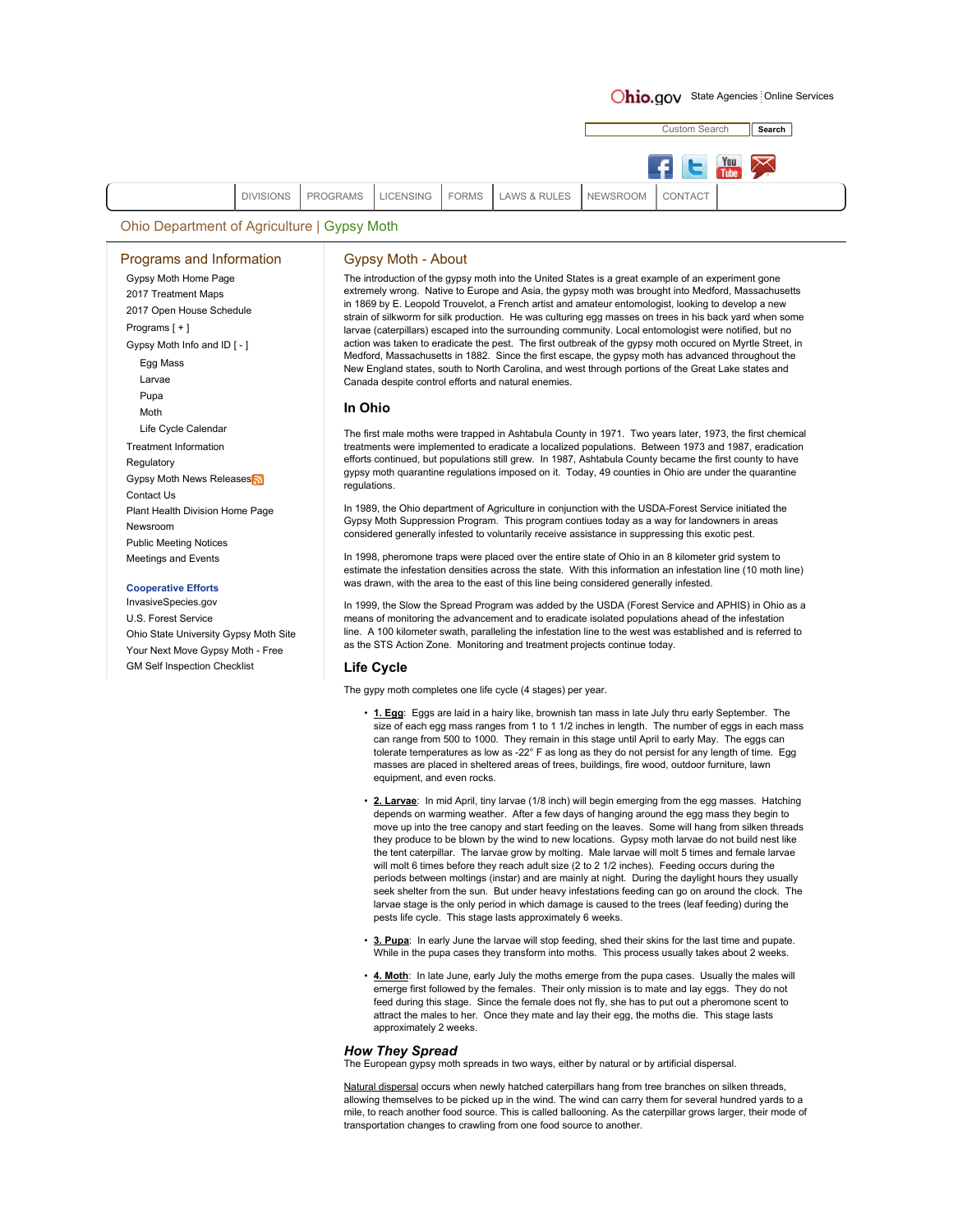# Ohio.gov State Agencies Online Services

Custom Search **Search**You DIVISIONS PROGRAMS LICENSING FORMS LAWS & RULES NEWSROOM CONTACT

Ohio Department of Agriculture | Gypsy Moth

### Programs and Information

Gypsy Moth Home Page 2017 Treatment Maps 2017 Open House Schedule Programs [ + ] Gypsy Moth Info and ID [ - ] Egg Mass Larvae Pupa Moth Life Cycle Calendar Treatment Information Regulatory **Gypsy Moth News Releases** Contact Us Plant Health Division Home Page Newsroom Public Meeting Notices Meetings and Events

# **Cooperative Efforts**

InvasiveSpecies.gov U.S. Forest Service Ohio State University Gypsy Moth Site Your Next Move Gypsy Moth - Free GM Self Inspection Checklist

## Gypsy Moth - About

The introduction of the gypsy moth into the United States is a great example of an experiment gone extremely wrong. Native to Europe and Asia, the gypsy moth was brought into Medford, Massachusetts in 1869 by E. Leopold Trouvelot, a French artist and amateur entomologist, looking to develop a new strain of silkworm for silk production. He was culturing egg masses on trees in his back yard when some larvae (caterpillars) escaped into the surrounding community. Local entomologist were notified, but no action was taken to eradicate the pest. The first outbreak of the gypsy moth occured on Myrtle Street, in Medford, Massachusetts in 1882. Since the first escape, the gypsy moth has advanced throughout the New England states, south to North Carolina, and west through portions of the Great Lake states and Canada despite control efforts and natural enemies.

# **In Ohio**

The first male moths were trapped in Ashtabula County in 1971. Two years later, 1973, the first chemical treatments were implemented to eradicate a localized populations. Between 1973 and 1987, eradication efforts continued, but populations still grew. In 1987, Ashtabula County became the first county to have gypsy moth quarantine regulations imposed on it. Today, 49 counties in Ohio are under the quarantine regulations.

In 1989, the Ohio department of Agriculture in conjunction with the USDA-Forest Service initiated the Gypsy Moth Suppression Program. This program contiues today as a way for landowners in areas considered generally infested to voluntarily receive assistance in suppressing this exotic pest.

In 1998, pheromone traps were placed over the entire state of Ohio in an 8 kilometer grid system to estimate the infestation densities across the state. With this information an infestation line (10 moth line) was drawn, with the area to the east of this line being considered generally infested

In 1999, the Slow the Spread Program was added by the USDA (Forest Service and APHIS) in Ohio as a means of monitoring the advancement and to eradicate isolated populations ahead of the infestation line. A 100 kilometer swath, paralleling the infestation line to the west was established and is referred to as the STS Action Zone. Monitoring and treatment projects continue today.

## **Life Cycle**

The gypy moth completes one life cycle (4 stages) per year.

- **1. Egg**: Eggs are laid in a hairy like, brownish tan mass in late July thru early September. The size of each egg mass ranges from 1 to 1 1/2 inches in length. The number of eggs in each mass can range from 500 to 1000. They remain in this stage until April to early May. The eggs can tolerate temperatures as low as -22° F as long as they do not persist for any length of time. Egg masses are placed in sheltered areas of trees, buildings, fire wood, outdoor furniture, lawn equipment, and even rocks.
- **2. Larvae**: In mid April, tiny larvae (1/8 inch) will begin emerging from the egg masses. Hatching depends on warming weather. After a few days of hanging around the egg mass they begin to move up into the tree canopy and start feeding on the leaves. Some will hang from silken threads they produce to be blown by the wind to new locations. Gypsy moth larvae do not build nest like the tent caterpillar. The larvae grow by molting. Male larvae will molt 5 times and female larvae will molt 6 times before they reach adult size (2 to 2 1/2 inches). Feeding occurs during the periods between moltings (instar) and are mainly at night. During the daylight hours they usually seek shelter from the sun. But under heavy infestations feeding can go on around the clock. The larvae stage is the only period in which damage is caused to the trees (leaf feeding) during the pests life cycle. This stage lasts approximately 6 weeks.
- **3. Pupa**: In early June the larvae will stop feeding, shed their skins for the last time and pupate. While in the pupa cases they transform into moths. This process usually takes about 2 weeks.
- **4. Moth**: In late June, early July the moths emerge from the pupa cases. Usually the males will emerge first followed by the females. Their only mission is to mate and lay eggs. They do not feed during this stage. Since the female does not fly, she has to put out a pheromone scent to attract the males to her. Once they mate and lay their egg, the moths die. This stage lasts approximately 2 weeks.

## *How They Spread*

The European gypsy moth spreads in two ways, either by natural or by artificial dispersal.

Natural dispersal occurs when newly hatched caterpillars hang from tree branches on silken threads, allowing themselves to be picked up in the wind. The wind can carry them for several hundred yards to a mile, to reach another food source. This is called ballooning. As the caterpillar grows larger, their mode of transportation changes to crawling from one food source to another.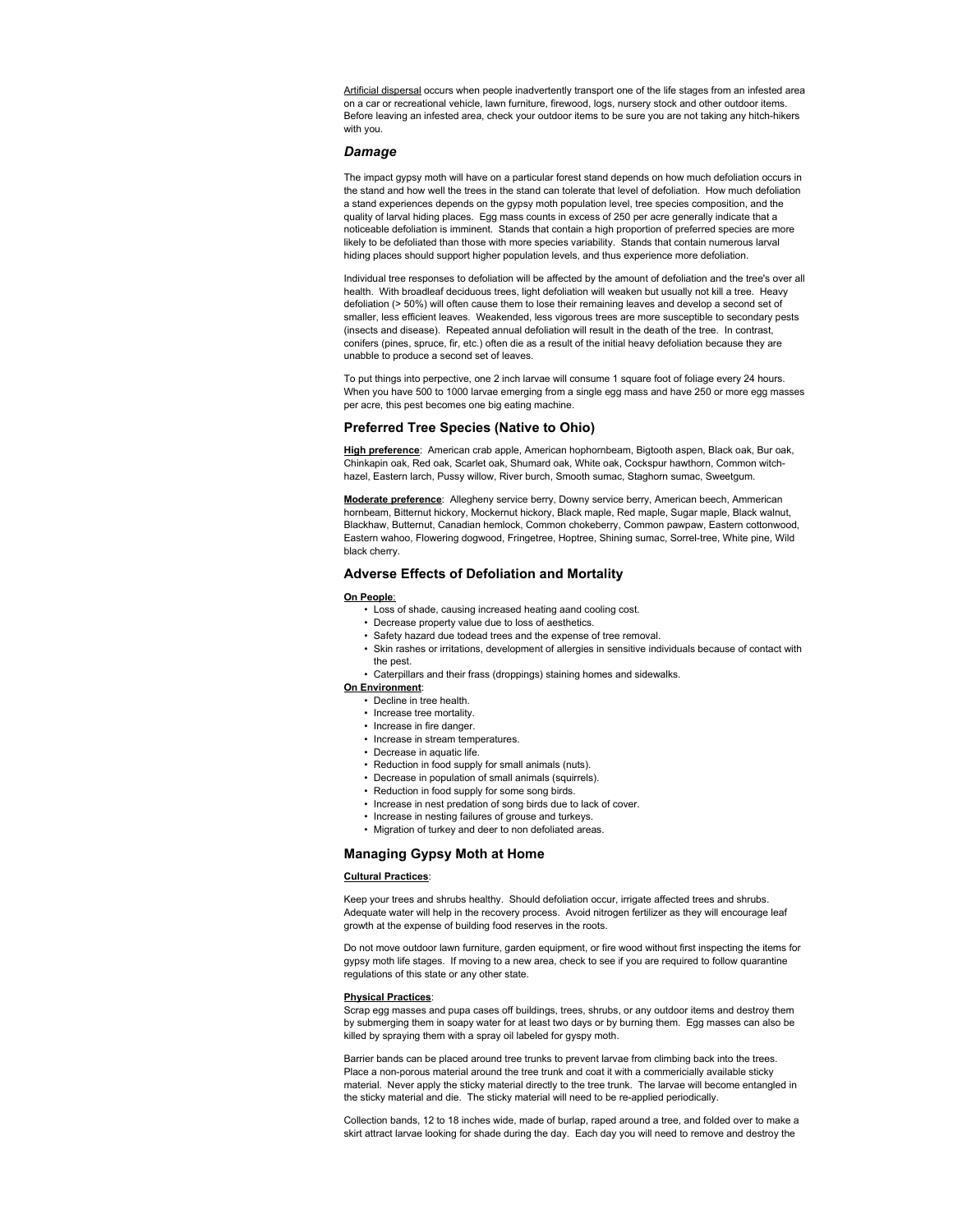Artificial dispersal occurs when people inadvertently transport one of the life stages from an infested area on a car or recreational vehicle, lawn furniture, firewood, logs, nursery stock and other outdoor items. Before leaving an infested area, check your outdoor items to be sure you are not taking any hitch-hikers with you.

## *Damage*

The impact gypsy moth will have on a particular forest stand depends on how much defoliation occurs in the stand and how well the trees in the stand can tolerate that level of defoliation. How much defoliation a stand experiences depends on the gypsy moth population level, tree species composition, and the quality of larval hiding places. Egg mass counts in excess of 250 per acre generally indicate that a noticeable defoliation is imminent. Stands that contain a high proportion of preferred species are more likely to be defoliated than those with more species variability. Stands that contain numerous larval hiding places should support higher population levels, and thus experience more defoliation.

Individual tree responses to defoliation will be affected by the amount of defoliation and the tree's over all health. With broadleaf deciduous trees, light defoliation will weaken but usually not kill a tree. Heavy defoliation (> 50%) will often cause them to lose their remaining leaves and develop a second set of smaller, less efficient leaves. Weakended, less vigorous trees are more susceptible to secondary pests (insects and disease). Repeated annual defoliation will result in the death of the tree. In contrast, conifers (pines, spruce, fir, etc.) often die as a result of the initial heavy defoliation because they are unabble to produce a second set of leaves.

To put things into perpective, one 2 inch larvae will consume 1 square foot of foliage every 24 hours. When you have 500 to 1000 larvae emerging from a single egg mass and have 250 or more egg masses per acre, this pest becomes one big eating machine.

## **Preferred Tree Species (Native to Ohio)**

**High preference**: American crab apple, American hophornbeam, Bigtooth aspen, Black oak, Bur oak, Chinkapin oak, Red oak, Scarlet oak, Shumard oak, White oak, Cockspur hawthorn, Common witchhazel, Eastern larch, Pussy willow, River burch, Smooth sumac, Staghorn sumac, Sweetgum.

**Moderate preference**: Allegheny service berry, Downy service berry, American beech, Ammerican hornbeam, Bitternut hickory, Mockernut hickory, Black maple, Red maple, Sugar maple, Black walnut, Blackhaw, Butternut, Canadian hemlock, Common chokeberry, Common pawpaw, Eastern cottonwood, Eastern wahoo, Flowering dogwood, Fringetree, Hoptree, Shining sumac, Sorrel-tree, White pine, Wild black cherry.

# **Adverse Effects of Defoliation and Mortality**

#### **On People**:

- Loss of shade, causing increased heating aand cooling cost.
- Decrease property value due to loss of aesthetics.
- Safety hazard due todead trees and the expense of tree removal.
- Skin rashes or irritations, development of allergies in sensitive individuals because of contact with the pest.
- Caterpillars and their frass (droppings) staining homes and sidewalks.

### **On Environment**:

- Decline in tree health.
- Increase tree mortality.
- Increase in fire danger.
- Increase in stream temperatures.
- Decrease in aquatic life.
- Reduction in food supply for small animals (nuts).
- Decrease in population of small animals (squirrels).
- Reduction in food supply for some song birds.
- Increase in nest predation of song birds due to lack of cover.
- Increase in nesting failures of grouse and turkeys.
- Migration of turkey and deer to non defoliated areas.

## **Managing Gypsy Moth at Home**

#### **Cultural Practices**:

Keep your trees and shrubs healthy. Should defoliation occur, irrigate affected trees and shrubs. Adequate water will help in the recovery process. Avoid nitrogen fertilizer as they will encourage leaf growth at the expense of building food reserves in the roots.

Do not move outdoor lawn furniture, garden equipment, or fire wood without first inspecting the items for gypsy moth life stages. If moving to a new area, check to see if you are required to follow quarantine regulations of this state or any other state.

## **Physical Practices**:

Scrap egg masses and pupa cases off buildings, trees, shrubs, or any outdoor items and destroy them by submerging them in soapy water for at least two days or by burning them. Egg masses can also be killed by spraying them with a spray oil labeled for gyspy moth.

Barrier bands can be placed around tree trunks to prevent larvae from climbing back into the trees. Place a non-porous material around the tree trunk and coat it with a commericially available sticky material. Never apply the sticky material directly to the tree trunk. The larvae will become entangled in the sticky material and die. The sticky material will need to be re-applied periodically.

Collection bands, 12 to 18 inches wide, made of burlap, raped around a tree, and folded over to make a skirt attract larvae looking for shade during the day. Each day you will need to remove and destroy the